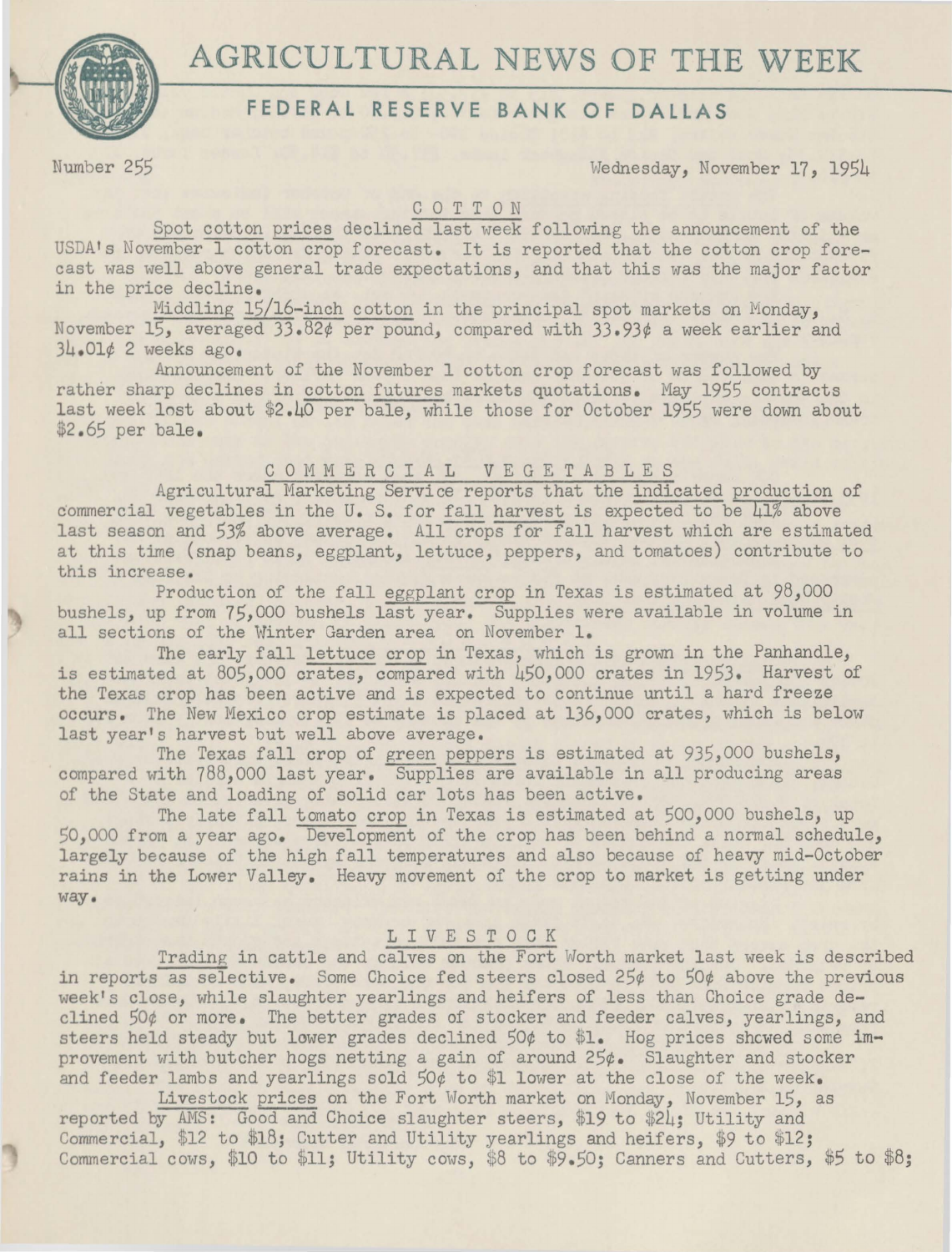

# **FEDERAL RESERVE BANK OF DALLAS**

Number 255 Wednesday, November 17, 1954

## COTTON

Spot cotton prices declined last week following the announcement of the USDA's November 1 cotton crop forecast. It is reported that the cotton crop forecast was well above general trade expectations, and that this was the major factor in the price decline.

Middling 15/16-inch cotton in the principal spot markets on Monday, November 15, averaged 33.82¢ per pound, compared with 33.93¢ a week earlier and 34.01¢ 2 weeks ago.

Announcement of the November 1 cotton crop forecast was followed by rather sharp declines in cotton futures markets quotations. May 1955 contracts last week lost about \$2.40 per bale, while those for October 1955 were down about \$2.65 per bale.

## COMMERCIAL VEGETABLES

Agricultural Marketing Service reports that the indicated production of commercial vegetables in the U. S. for fall harvest is expected to be  $41\%$  above last season and 53% above average. All crops for fall harvest which are estimated at this time (snap beans, eggplant, lettuce, peppers, and tomatoes) contribute to this increase.

Production of the fall eggplant crop in Texas is estimated at 98,000 bushels, up from 75,000 bushels last year. Supplies were available in volume in all sections of the Winter Garden area on November 1.

The early fall lettuce crop in Texas, which is grown in the Panhandle, is estimated at 805,000 crates, compared with 450,000 crates in 1953. Harvest of the Texas crop has been active and is expected to continue until a hard freeze occurs. The New Mexico crop estimate is placed at 136,000 crates, which is below last year's harvest but well above average.

The Texas fall crop of green peppers is estimated at 935,000 bushels, compared with 788,000 last year. Supplies are available in all producing areas of the State and loading of solid car lots has been active.

The late fall tomato crop in Texas is estimated at 500,000 bushels, up 50,000 from a year ago. Development of the crop has been behind a normal schedule, largely because of the high fall temperatures and also because of heavy mid-October rains in the Lower Valley. Heavy movement of the crop to market is getting under way.

#### L I V E S T 0 C K

Trading in cattle and calves on the Fort Worth market last week is described in reports as selective. Some Choice fed steers closed 25¢ to 50¢ above the previous week's close, while slaughter yearlings and heifers of less than Choice grade declined 50¢ or more. The better grades of stocker and feeder calves, yearlings, and steers held steady but lower grades declined  $50¢$  to \$1. Hog prices showed some improvement with butcher hogs netting a gain of around  $25¢$ . Slaughter and stocker and feeder lambs and yearlings sold  $50¢$  to \$1 lower at the close of the week.

Livestock prices on the Fort Worth market on Monday, November 15, as reported by AMS: Good and Choice slaughter steers, \$19 to \$24; Utility and Commercial, \$12 to \$18; Cutter and Utility yearlings and heifers, \$9 to \$12; Commercial cows, \$10 to \$11; Utility cows, \$8 to \$9.50; Canners and Cutters, *\$5* to \$8;